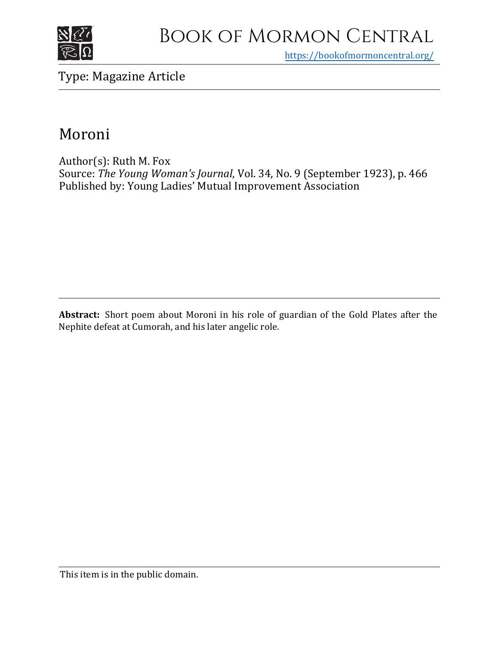

# Book of Mormon Central

https[://bookofmormoncentral.org/](http://bookofmormoncentral.org/)

## Type: Magazine Article

## Moroni

Author(s): Ruth M. Fox Source: *The Young Woman's Journal*, Vol. 34, No. 9 (September 1923), p. 466 Published by: Young Ladies' Mutual Improvement Association

**Abstract:** Short poem about Moroni in his role of guardian of the Gold Plates after the Nephite defeat at Cumorah, and his later angelic role.